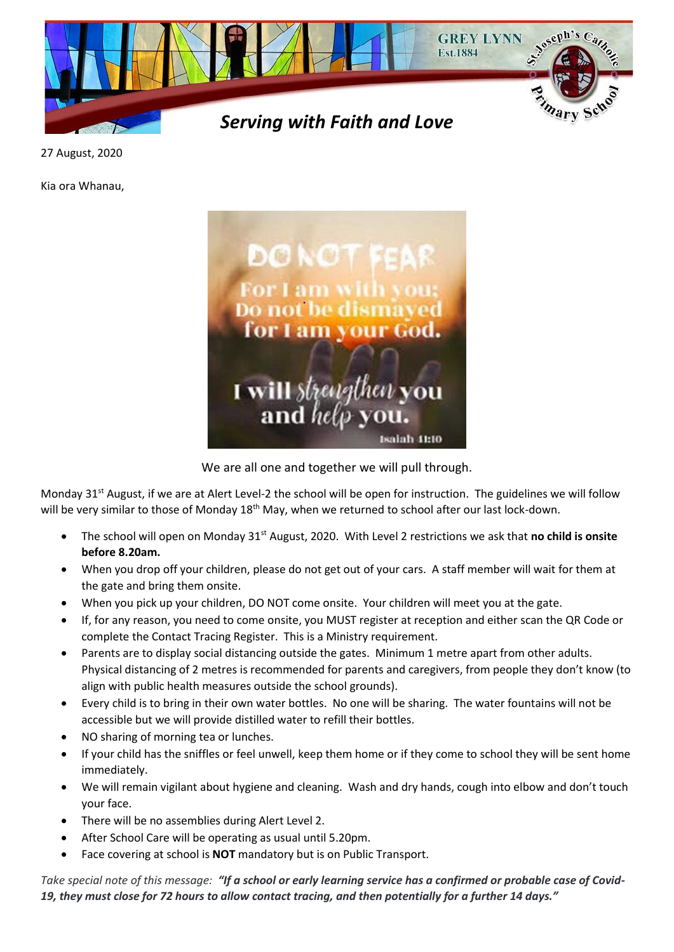

27 August, 2020

Kia ora Whanau,



We are all one and together we will pull through.

Monday  $31<sup>st</sup>$  August, if we are at Alert Level-2 the school will be open for instruction. The guidelines we will follow will be very similar to those of Monday 18<sup>th</sup> May, when we returned to school after our last lock-down.

- The school will open on Monday 31st August, 2020. With Level 2 restrictions we ask that **no child is onsite before 8.20am.**
- When you drop off your children, please do not get out of your cars. A staff member will wait for them at the gate and bring them onsite.
- When you pick up your children, DO NOT come onsite. Your children will meet you at the gate.
- If, for any reason, you need to come onsite, you MUST register at reception and either scan the QR Code or complete the Contact Tracing Register. This is a Ministry requirement.
- Parents are to display social distancing outside the gates. Minimum 1 metre apart from other adults. Physical distancing of 2 metres is recommended for parents and caregivers, from people they don't know (to align with public health measures outside the school grounds).
- Every child is to bring in their own water bottles. No one will be sharing. The water fountains will not be accessible but we will provide distilled water to refill their bottles.
- NO sharing of morning tea or lunches.
- If your child has the sniffles or feel unwell, keep them home or if they come to school they will be sent home immediately.
- We will remain vigilant about hygiene and cleaning. Wash and dry hands, cough into elbow and don't touch your face.
- There will be no assemblies during Alert Level 2.
- After School Care will be operating as usual until 5.20pm.
- Face covering at school is **NOT** mandatory but is on Public Transport.

*Take special note of this message: "If a school or early learning service has a confirmed or probable case of Covid-19, they must close for 72 hours to allow contact tracing, and then potentially for a further 14 days."*